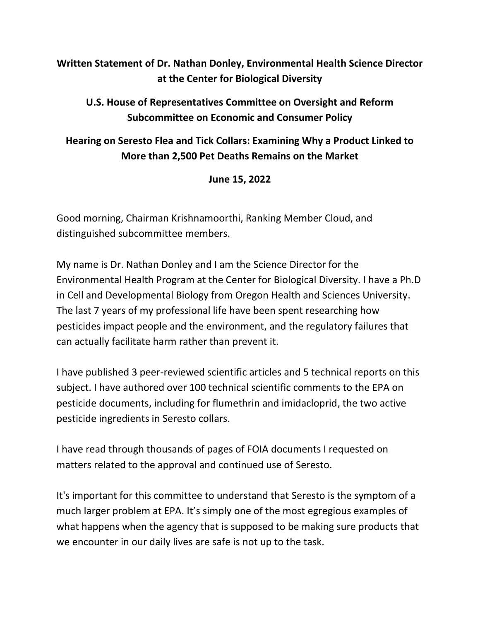## **Written Statement of Dr. Nathan Donley, Environmental Health Science Director at the Center for Biological Diversity**

## **U.S. House of Representatives Committee on Oversight and Reform Subcommittee on Economic and Consumer Policy**

## **Hearing on Seresto Flea and Tick Collars: Examining Why a Product Linked to More than 2,500 Pet Deaths Remains on the Market**

## **June 15, 2022**

Good morning, Chairman Krishnamoorthi, Ranking Member Cloud, and distinguished subcommittee members.

My name is Dr. Nathan Donley and I am the Science Director for the Environmental Health Program at the Center for Biological Diversity. I have a Ph.D in Cell and Developmental Biology from Oregon Health and Sciences University. The last 7 years of my professional life have been spent researching how pesticides impact people and the environment, and the regulatory failures that can actually facilitate harm rather than prevent it.

I have published 3 peer-reviewed scientific articles and 5 technical reports on this subject. I have authored over 100 technical scientific comments to the EPA on pesticide documents, including for flumethrin and imidacloprid, the two active pesticide ingredients in Seresto collars.

I have read through thousands of pages of FOIA documents I requested on matters related to the approval and continued use of Seresto.

It's important for this committee to understand that Seresto is the symptom of a much larger problem at EPA. It's simply one of the most egregious examples of what happens when the agency that is supposed to be making sure products that we encounter in our daily lives are safe is not up to the task.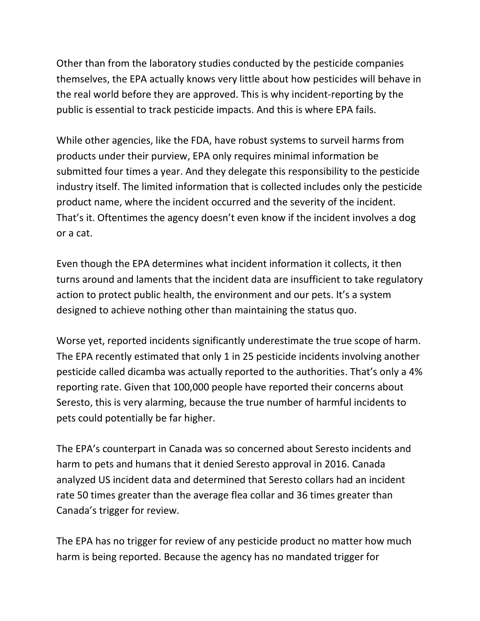Other than from the laboratory studies conducted by the pesticide companies themselves, the EPA actually knows very little about how pesticides will behave in the real world before they are approved. This is why incident-reporting by the public is essential to track pesticide impacts. And this is where EPA fails.

While other agencies, like the FDA, have robust systems to surveil harms from products under their purview, EPA only requires minimal information be submitted four times a year. And they delegate this responsibility to the pesticide industry itself. The limited information that is collected includes only the pesticide product name, where the incident occurred and the severity of the incident. That's it. Oftentimes the agency doesn't even know if the incident involves a dog or a cat.

Even though the EPA determines what incident information it collects, it then turns around and laments that the incident data are insufficient to take regulatory action to protect public health, the environment and our pets. It's a system designed to achieve nothing other than maintaining the status quo.

Worse yet, reported incidents significantly underestimate the true scope of harm. The EPA recently estimated that only 1 in 25 pesticide incidents involving another pesticide called dicamba was actually reported to the authorities. That's only a 4% reporting rate. Given that 100,000 people have reported their concerns about Seresto, this is very alarming, because the true number of harmful incidents to pets could potentially be far higher.

The EPA's counterpart in Canada was so concerned about Seresto incidents and harm to pets and humans that it denied Seresto approval in 2016. Canada analyzed US incident data and determined that Seresto collars had an incident rate 50 times greater than the average flea collar and 36 times greater than Canada's trigger for review.

The EPA has no trigger for review of any pesticide product no matter how much harm is being reported. Because the agency has no mandated trigger for